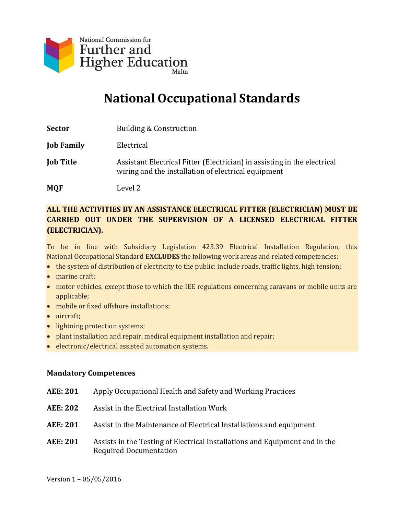

# **National Occupational Standards**

| Sector           | Building & Construction                                                                                                         |
|------------------|---------------------------------------------------------------------------------------------------------------------------------|
| Job Family       | Electrical                                                                                                                      |
| <b>Job Title</b> | Assistant Electrical Fitter (Electrician) in assisting in the electrical<br>wiring and the installation of electrical equipment |

**MQF** Level 2

#### **ALL THE ACTIVITIES BY AN ASSISTANCE ELECTRICAL FITTER (ELECTRICIAN) MUST BE CARRIED OUT UNDER THE SUPERVISION OF A LICENSED ELECTRICAL FITTER (ELECTRICIAN).**

To be in line with Subsidiary Legislation 423.39 Electrical Installation Regulation, this National Occupational Standard **EXCLUDES** the following work areas and related competencies:

- the system of distribution of electricity to the public: include roads, traffic lights, high tension;
- marine craft:
- motor vehicles, except those to which the IEE regulations concerning caravans or mobile units are applicable;
- mobile or fixed offshore installations;
- aircraft;
- lightning protection systems;
- plant installation and repair, medical equipment installation and repair;
- electronic/electrical assisted automation systems.

#### **Mandatory Competences**

| <b>AEE: 201</b> | Apply Occupational Health and Safety and Working Practices                                                   |
|-----------------|--------------------------------------------------------------------------------------------------------------|
| <b>AEE: 202</b> | Assist in the Electrical Installation Work                                                                   |
| <b>AEE: 201</b> | Assist in the Maintenance of Electrical Installations and equipment                                          |
| <b>AEE: 201</b> | Assists in the Testing of Electrical Installations and Equipment and in the<br><b>Required Documentation</b> |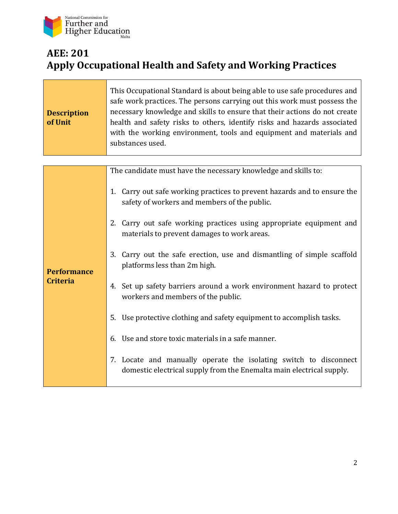

## **AEE: 201 Apply Occupational Health and Safety and Working Practices**

| <b>Description</b><br>of Unit | This Occupational Standard is about being able to use safe procedures and<br>safe work practices. The persons carrying out this work must possess the<br>necessary knowledge and skills to ensure that their actions do not create<br>health and safety risks to others, identify risks and hazards associated<br>with the working environment, tools and equipment and materials and<br>substances used. |
|-------------------------------|-----------------------------------------------------------------------------------------------------------------------------------------------------------------------------------------------------------------------------------------------------------------------------------------------------------------------------------------------------------------------------------------------------------|
|                               | The candidate must have the necessary knowledge and skills to:                                                                                                                                                                                                                                                                                                                                            |
|                               | 1. Carry out safe working practices to prevent hazards and to ensure the<br>safety of workers and members of the public.                                                                                                                                                                                                                                                                                  |
|                               | 2. Carry out safe working practices using appropriate equipment and<br>materials to prevent damages to work areas.                                                                                                                                                                                                                                                                                        |
| <b>Performance</b>            | 3. Carry out the safe erection, use and dismantling of simple scaffold<br>platforms less than 2m high.                                                                                                                                                                                                                                                                                                    |
| <b>Criteria</b>               | 4. Set up safety barriers around a work environment hazard to protect<br>workers and members of the public.                                                                                                                                                                                                                                                                                               |
|                               | Use protective clothing and safety equipment to accomplish tasks.<br>5.                                                                                                                                                                                                                                                                                                                                   |
|                               | Use and store toxic materials in a safe manner.<br>6.                                                                                                                                                                                                                                                                                                                                                     |
|                               | 7. Locate and manually operate the isolating switch to disconnect<br>domestic electrical supply from the Enemalta main electrical supply.                                                                                                                                                                                                                                                                 |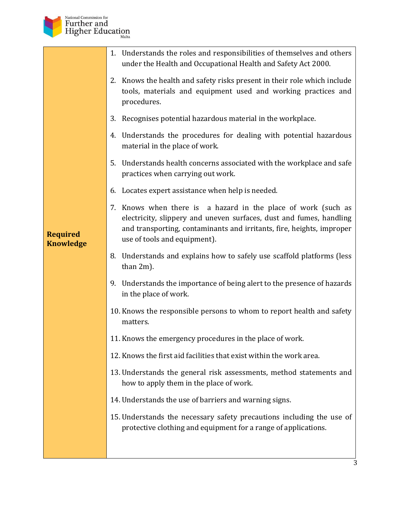

|                                     | 1. Understands the roles and responsibilities of themselves and others<br>under the Health and Occupational Health and Safety Act 2000.                                                                                                       |
|-------------------------------------|-----------------------------------------------------------------------------------------------------------------------------------------------------------------------------------------------------------------------------------------------|
|                                     | 2. Knows the health and safety risks present in their role which include<br>tools, materials and equipment used and working practices and<br>procedures.                                                                                      |
|                                     | Recognises potential hazardous material in the workplace.<br>3.                                                                                                                                                                               |
|                                     | 4. Understands the procedures for dealing with potential hazardous<br>material in the place of work.                                                                                                                                          |
|                                     | 5. Understands health concerns associated with the workplace and safe<br>practices when carrying out work.                                                                                                                                    |
|                                     | 6. Locates expert assistance when help is needed.                                                                                                                                                                                             |
| <b>Required</b><br><b>Knowledge</b> | 7. Knows when there is a hazard in the place of work (such as<br>electricity, slippery and uneven surfaces, dust and fumes, handling<br>and transporting, contaminants and irritants, fire, heights, improper<br>use of tools and equipment). |
|                                     | 8. Understands and explains how to safely use scaffold platforms (less<br>than 2m).                                                                                                                                                           |
|                                     | 9. Understands the importance of being alert to the presence of hazards<br>in the place of work.                                                                                                                                              |
|                                     | 10. Knows the responsible persons to whom to report health and safety<br>matters.                                                                                                                                                             |
|                                     | 11. Knows the emergency procedures in the place of work.                                                                                                                                                                                      |
|                                     | 12. Knows the first aid facilities that exist within the work area.                                                                                                                                                                           |
|                                     | 13. Understands the general risk assessments, method statements and<br>how to apply them in the place of work.                                                                                                                                |
|                                     | 14. Understands the use of barriers and warning signs.                                                                                                                                                                                        |
|                                     | 15. Understands the necessary safety precautions including the use of<br>protective clothing and equipment for a range of applications.                                                                                                       |
|                                     |                                                                                                                                                                                                                                               |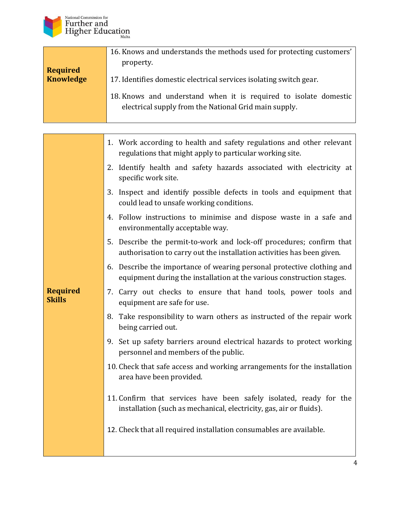

|                                     | 16. Knows and understands the methods used for protecting customers'                                                      |
|-------------------------------------|---------------------------------------------------------------------------------------------------------------------------|
|                                     | property.                                                                                                                 |
| <b>Required</b><br><b>Knowledge</b> | 17. Identifies domestic electrical services isolating switch gear.                                                        |
|                                     | 18. Knows and understand when it is required to isolate domestic<br>electrical supply from the National Grid main supply. |

|                                  | 1. Work according to health and safety regulations and other relevant<br>regulations that might apply to particular working site.               |
|----------------------------------|-------------------------------------------------------------------------------------------------------------------------------------------------|
|                                  | 2. Identify health and safety hazards associated with electricity at<br>specific work site.                                                     |
|                                  | 3. Inspect and identify possible defects in tools and equipment that<br>could lead to unsafe working conditions.                                |
|                                  | 4. Follow instructions to minimise and dispose waste in a safe and<br>environmentally acceptable way.                                           |
|                                  | 5. Describe the permit-to-work and lock-off procedures; confirm that<br>authorisation to carry out the installation activities has been given.  |
|                                  | 6. Describe the importance of wearing personal protective clothing and<br>equipment during the installation at the various construction stages. |
| <b>Required</b><br><b>Skills</b> | 7. Carry out checks to ensure that hand tools, power tools and<br>equipment are safe for use.                                                   |
|                                  | Take responsibility to warn others as instructed of the repair work<br>8.<br>being carried out.                                                 |
|                                  | 9. Set up safety barriers around electrical hazards to protect working<br>personnel and members of the public.                                  |
|                                  | 10. Check that safe access and working arrangements for the installation<br>area have been provided.                                            |
|                                  | 11. Confirm that services have been safely isolated, ready for the<br>installation (such as mechanical, electricity, gas, air or fluids).       |
|                                  | 12. Check that all required installation consumables are available.                                                                             |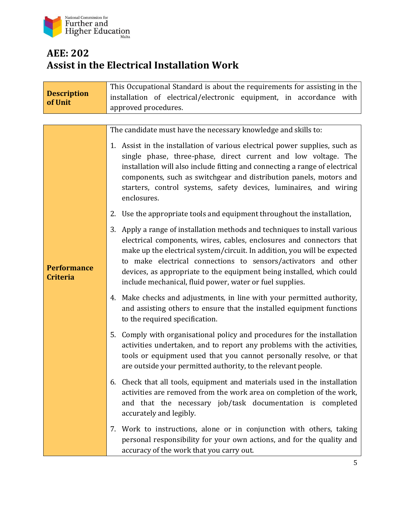

## **AEE: 202 Assist in the Electrical Installation Work**

| <b>Description</b><br>of Unit         | This Occupational Standard is about the requirements for assisting in the<br>installation of electrical/electronic equipment, in accordance with<br>approved procedures.                                                                                                                                                                                                                                                              |
|---------------------------------------|---------------------------------------------------------------------------------------------------------------------------------------------------------------------------------------------------------------------------------------------------------------------------------------------------------------------------------------------------------------------------------------------------------------------------------------|
|                                       |                                                                                                                                                                                                                                                                                                                                                                                                                                       |
|                                       | The candidate must have the necessary knowledge and skills to:                                                                                                                                                                                                                                                                                                                                                                        |
|                                       | 1. Assist in the installation of various electrical power supplies, such as<br>single phase, three-phase, direct current and low voltage. The<br>installation will also include fitting and connecting a range of electrical<br>components, such as switchgear and distribution panels, motors and<br>starters, control systems, safety devices, luminaires, and wiring<br>enclosures.                                                |
|                                       | 2. Use the appropriate tools and equipment throughout the installation,                                                                                                                                                                                                                                                                                                                                                               |
| <b>Performance</b><br><b>Criteria</b> | 3. Apply a range of installation methods and techniques to install various<br>electrical components, wires, cables, enclosures and connectors that<br>make up the electrical system/circuit. In addition, you will be expected<br>to make electrical connections to sensors/activators and other<br>devices, as appropriate to the equipment being installed, which could<br>include mechanical, fluid power, water or fuel supplies. |
|                                       | 4. Make checks and adjustments, in line with your permitted authority,<br>and assisting others to ensure that the installed equipment functions<br>to the required specification.                                                                                                                                                                                                                                                     |
|                                       | 5.<br>Comply with organisational policy and procedures for the installation<br>activities undertaken, and to report any problems with the activities,<br>tools or equipment used that you cannot personally resolve, or that<br>are outside your permitted authority, to the relevant people.                                                                                                                                         |
|                                       | Check that all tools, equipment and materials used in the installation<br>6.<br>activities are removed from the work area on completion of the work,<br>and that the necessary job/task documentation is completed<br>accurately and legibly.                                                                                                                                                                                         |
|                                       | 7. Work to instructions, alone or in conjunction with others, taking<br>personal responsibility for your own actions, and for the quality and<br>accuracy of the work that you carry out.                                                                                                                                                                                                                                             |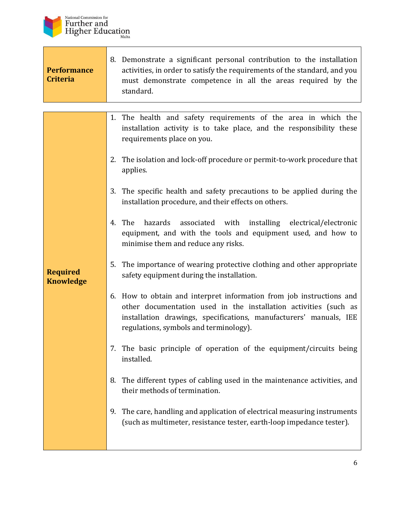

Г

| <b>Performance</b><br><b>Criteria</b> | 8. Demonstrate a significant personal contribution to the installation<br>activities, in order to satisfy the requirements of the standard, and you<br>must demonstrate competence in all the areas required by the<br>standard.                         |
|---------------------------------------|----------------------------------------------------------------------------------------------------------------------------------------------------------------------------------------------------------------------------------------------------------|
|                                       | 1. The health and safety requirements of the area in which the<br>installation activity is to take place, and the responsibility these                                                                                                                   |
|                                       | requirements place on you.                                                                                                                                                                                                                               |
|                                       | 2. The isolation and lock-off procedure or permit-to-work procedure that<br>applies.                                                                                                                                                                     |
|                                       | 3. The specific health and safety precautions to be applied during the<br>installation procedure, and their effects on others.                                                                                                                           |
|                                       | The<br>hazards<br>associated with installing electrical/electronic<br>4.<br>equipment, and with the tools and equipment used, and how to<br>minimise them and reduce any risks.                                                                          |
| <b>Required</b><br><b>Knowledge</b>   | 5. The importance of wearing protective clothing and other appropriate<br>safety equipment during the installation.                                                                                                                                      |
|                                       | 6. How to obtain and interpret information from job instructions and<br>other documentation used in the installation activities (such as<br>installation drawings, specifications, manufacturers' manuals, IEE<br>regulations, symbols and terminology). |
|                                       | 7. The basic principle of operation of the equipment/circuits being<br>installed.                                                                                                                                                                        |
|                                       | The different types of cabling used in the maintenance activities, and<br>8.<br>their methods of termination.                                                                                                                                            |
|                                       | The care, handling and application of electrical measuring instruments<br>9.<br>(such as multimeter, resistance tester, earth-loop impedance tester).                                                                                                    |
|                                       |                                                                                                                                                                                                                                                          |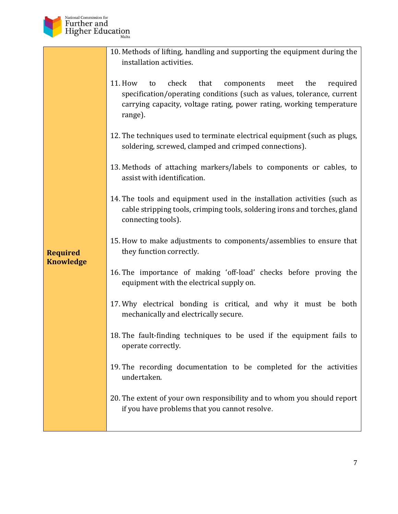

**Required Knowledge**

| 10. Methods of lifting, handling and supporting the equipment during the |
|--------------------------------------------------------------------------|
| installation activities.                                                 |

- 11. How to check that components meet the required specification/operating conditions (such as values, tolerance, current carrying capacity, voltage rating, power rating, working temperature range).
- 12. The techniques used to terminate electrical equipment (such as plugs, soldering, screwed, clamped and crimped connections).
- 13. Methods of attaching markers/labels to components or cables, to assist with identification.
- 14. The tools and equipment used in the installation activities (such as cable stripping tools, crimping tools, soldering irons and torches, gland connecting tools).
- 15. How to make adjustments to components/assemblies to ensure that they function correctly.

#### 16. The importance of making 'off-load' checks before proving the equipment with the electrical supply on.

- 17. Why electrical bonding is critical, and why it must be both mechanically and electrically secure.
- 18. The fault-finding techniques to be used if the equipment fails to operate correctly.
- 19. The recording documentation to be completed for the activities undertaken.
- 20. The extent of your own responsibility and to whom you should report if you have problems that you cannot resolve.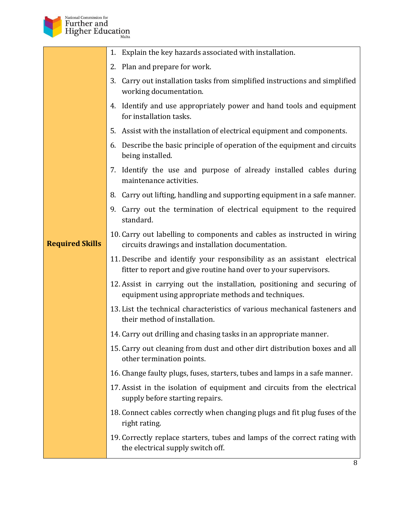

|                        | 1. Explain the key hazards associated with installation.                                                                                     |
|------------------------|----------------------------------------------------------------------------------------------------------------------------------------------|
|                        | 2. Plan and prepare for work.                                                                                                                |
|                        | 3. Carry out installation tasks from simplified instructions and simplified<br>working documentation.                                        |
|                        | 4. Identify and use appropriately power and hand tools and equipment<br>for installation tasks.                                              |
|                        | 5. Assist with the installation of electrical equipment and components.                                                                      |
|                        | Describe the basic principle of operation of the equipment and circuits<br>6.<br>being installed.                                            |
|                        | 7. Identify the use and purpose of already installed cables during<br>maintenance activities.                                                |
|                        | 8. Carry out lifting, handling and supporting equipment in a safe manner.                                                                    |
|                        | 9. Carry out the termination of electrical equipment to the required<br>standard.                                                            |
| <b>Required Skills</b> | 10. Carry out labelling to components and cables as instructed in wiring<br>circuits drawings and installation documentation.                |
|                        | 11. Describe and identify your responsibility as an assistant electrical<br>fitter to report and give routine hand over to your supervisors. |
|                        | 12. Assist in carrying out the installation, positioning and securing of<br>equipment using appropriate methods and techniques.              |
|                        | 13. List the technical characteristics of various mechanical fasteners and<br>their method of installation.                                  |
|                        | 14. Carry out drilling and chasing tasks in an appropriate manner.                                                                           |
|                        | 15. Carry out cleaning from dust and other dirt distribution boxes and all<br>other termination points.                                      |
|                        | 16. Change faulty plugs, fuses, starters, tubes and lamps in a safe manner.                                                                  |
|                        | 17. Assist in the isolation of equipment and circuits from the electrical<br>supply before starting repairs.                                 |
|                        | 18. Connect cables correctly when changing plugs and fit plug fuses of the<br>right rating.                                                  |
|                        | 19. Correctly replace starters, tubes and lamps of the correct rating with<br>the electrical supply switch off.                              |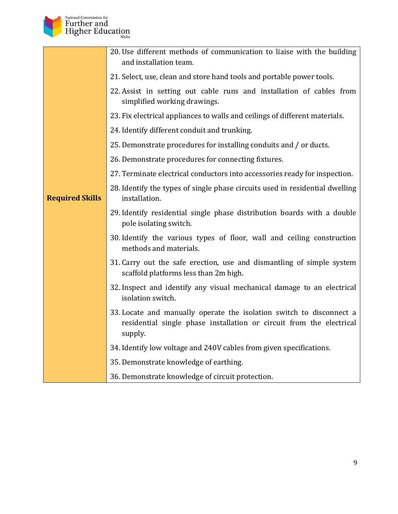

|                        | 20. Use different methods of communication to liaise with the building<br>and installation team.                                                        |
|------------------------|---------------------------------------------------------------------------------------------------------------------------------------------------------|
|                        | 21. Select, use, clean and store hand tools and portable power tools.                                                                                   |
|                        | 22. Assist in setting out cable runs and installation of cables from<br>simplified working drawings.                                                    |
|                        | 23. Fix electrical appliances to walls and ceilings of different materials.                                                                             |
|                        | 24. Identify different conduit and trunking.                                                                                                            |
|                        | 25. Demonstrate procedures for installing conduits and / or ducts.                                                                                      |
|                        | 26. Demonstrate procedures for connecting fixtures.                                                                                                     |
|                        | 27. Terminate electrical conductors into accessories ready for inspection.                                                                              |
| <b>Required Skills</b> | 28. Identify the types of single phase circuits used in residential dwelling<br>installation.                                                           |
|                        | 29. Identify residential single phase distribution boards with a double<br>pole isolating switch.                                                       |
|                        | 30. Identify the various types of floor, wall and ceiling construction<br>methods and materials.                                                        |
|                        | 31. Carry out the safe erection, use and dismantling of simple system<br>scaffold platforms less than 2m high.                                          |
|                        | 32. Inspect and identify any visual mechanical damage to an electrical<br>isolation switch.                                                             |
|                        | 33. Locate and manually operate the isolation switch to disconnect a<br>residential single phase installation or circuit from the electrical<br>supply. |
|                        | 34. Identify low voltage and 240V cables from given specifications.                                                                                     |
|                        | 35. Demonstrate knowledge of earthing.                                                                                                                  |
|                        | 36. Demonstrate knowledge of circuit protection.                                                                                                        |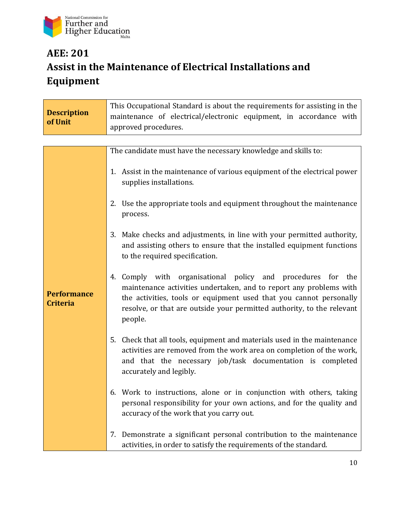

# **AEE: 201 Assist in the Maintenance of Electrical Installations and Equipment**

| <b>Description</b><br>of Unit         | This Occupational Standard is about the requirements for assisting in the<br>maintenance of electrical/electronic equipment, in accordance with<br>approved procedures.                                                                                                                            |
|---------------------------------------|----------------------------------------------------------------------------------------------------------------------------------------------------------------------------------------------------------------------------------------------------------------------------------------------------|
|                                       |                                                                                                                                                                                                                                                                                                    |
|                                       | The candidate must have the necessary knowledge and skills to:                                                                                                                                                                                                                                     |
|                                       | 1. Assist in the maintenance of various equipment of the electrical power<br>supplies installations.                                                                                                                                                                                               |
|                                       | 2. Use the appropriate tools and equipment throughout the maintenance<br>process.                                                                                                                                                                                                                  |
|                                       | Make checks and adjustments, in line with your permitted authority,<br>3.<br>and assisting others to ensure that the installed equipment functions<br>to the required specification.                                                                                                               |
| <b>Performance</b><br><b>Criteria</b> | Comply with organisational policy and procedures for<br>the<br>4.<br>maintenance activities undertaken, and to report any problems with<br>the activities, tools or equipment used that you cannot personally<br>resolve, or that are outside your permitted authority, to the relevant<br>people. |
|                                       | Check that all tools, equipment and materials used in the maintenance<br>5.<br>activities are removed from the work area on completion of the work,<br>and that the necessary job/task documentation is completed<br>accurately and legibly.                                                       |
|                                       | 6. Work to instructions, alone or in conjunction with others, taking<br>personal responsibility for your own actions, and for the quality and<br>accuracy of the work that you carry out.                                                                                                          |
|                                       | Demonstrate a significant personal contribution to the maintenance<br>7.<br>activities, in order to satisfy the requirements of the standard.                                                                                                                                                      |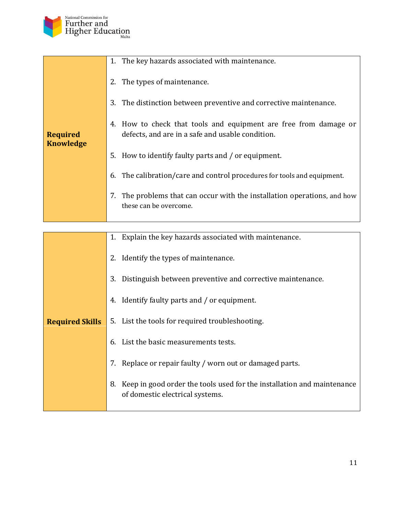

| <b>Required</b><br><b>Knowledge</b> | 1. The key hazards associated with maintenance.                                                                      |
|-------------------------------------|----------------------------------------------------------------------------------------------------------------------|
|                                     | The types of maintenance.                                                                                            |
|                                     | The distinction between preventive and corrective maintenance.<br>3.                                                 |
|                                     | 4. How to check that tools and equipment are free from damage or<br>defects, and are in a safe and usable condition. |
|                                     | 5. How to identify faulty parts and / or equipment.                                                                  |
|                                     | The calibration/care and control procedures for tools and equipment.<br>6.                                           |
|                                     | 7.<br>The problems that can occur with the installation operations, and how<br>these can be overcome.                |
|                                     |                                                                                                                      |

|                        | Explain the key hazards associated with maintenance.<br>1.                                                      |
|------------------------|-----------------------------------------------------------------------------------------------------------------|
|                        | Identify the types of maintenance.<br>2.                                                                        |
|                        | Distinguish between preventive and corrective maintenance.<br>3.                                                |
|                        | Identify faulty parts and / or equipment.<br>4.                                                                 |
| <b>Required Skills</b> | 5. List the tools for required troubleshooting.                                                                 |
|                        | List the basic measurements tests.<br>6.                                                                        |
|                        | Replace or repair faulty / worn out or damaged parts.<br>7.                                                     |
|                        | Keep in good order the tools used for the installation and maintenance<br>8.<br>of domestic electrical systems. |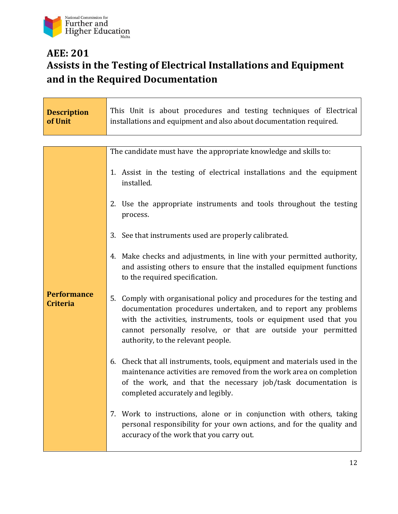

 $\mathbf{r}$ 

## **AEE: 201 Assists in the Testing of Electrical Installations and Equipment and in the Required Documentation**

| <b>Description</b><br>of Unit         | This Unit is about procedures and testing techniques of Electrical<br>installations and equipment and also about documentation required.                                                                                                                                                                                   |
|---------------------------------------|----------------------------------------------------------------------------------------------------------------------------------------------------------------------------------------------------------------------------------------------------------------------------------------------------------------------------|
|                                       |                                                                                                                                                                                                                                                                                                                            |
|                                       | The candidate must have the appropriate knowledge and skills to:                                                                                                                                                                                                                                                           |
|                                       | 1. Assist in the testing of electrical installations and the equipment<br>installed.                                                                                                                                                                                                                                       |
|                                       | 2. Use the appropriate instruments and tools throughout the testing<br>process.                                                                                                                                                                                                                                            |
|                                       | 3. See that instruments used are properly calibrated.                                                                                                                                                                                                                                                                      |
|                                       | 4. Make checks and adjustments, in line with your permitted authority,<br>and assisting others to ensure that the installed equipment functions<br>to the required specification.                                                                                                                                          |
| <b>Performance</b><br><b>Criteria</b> | Comply with organisational policy and procedures for the testing and<br>5.<br>documentation procedures undertaken, and to report any problems<br>with the activities, instruments, tools or equipment used that you<br>cannot personally resolve, or that are outside your permitted<br>authority, to the relevant people. |
|                                       | Check that all instruments, tools, equipment and materials used in the<br>6.<br>maintenance activities are removed from the work area on completion<br>of the work, and that the necessary job/task documentation is<br>completed accurately and legibly.                                                                  |
|                                       | 7. Work to instructions, alone or in conjunction with others, taking<br>personal responsibility for your own actions, and for the quality and<br>accuracy of the work that you carry out.                                                                                                                                  |

 $\overline{\phantom{a}}$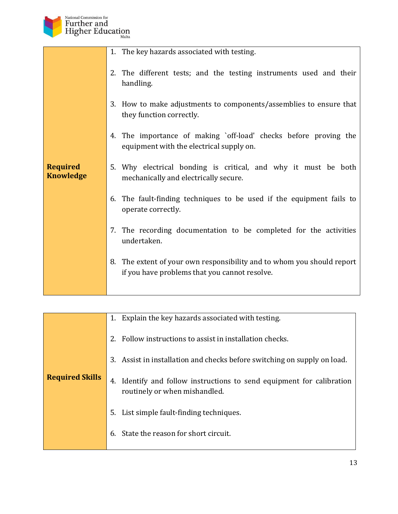

|                                     | 1. The key hazards associated with testing.                                                                                |
|-------------------------------------|----------------------------------------------------------------------------------------------------------------------------|
|                                     | The different tests; and the testing instruments used and their<br>2.<br>handling.                                         |
|                                     | How to make adjustments to components/assemblies to ensure that<br>3.<br>they function correctly.                          |
|                                     | The importance of making `off-load' checks before proving the<br>4.<br>equipment with the electrical supply on.            |
| <b>Required</b><br><b>Knowledge</b> | Why electrical bonding is critical, and why it must be both<br>5.<br>mechanically and electrically secure.                 |
|                                     | The fault-finding techniques to be used if the equipment fails to<br>6.<br>operate correctly.                              |
|                                     | 7. The recording documentation to be completed for the activities<br>undertaken.                                           |
|                                     | The extent of your own responsibility and to whom you should report<br>8.<br>if you have problems that you cannot resolve. |
|                                     |                                                                                                                            |

| <b>Required Skills</b> | 1.<br>Explain the key hazards associated with testing.<br>Follow instructions to assist in installation checks.<br>2.<br>Assist in installation and checks before switching on supply on load.<br>3.<br>Identify and follow instructions to send equipment for calibration<br>4.<br>routinely or when mishandled.<br>List simple fault-finding techniques.<br>5. |
|------------------------|------------------------------------------------------------------------------------------------------------------------------------------------------------------------------------------------------------------------------------------------------------------------------------------------------------------------------------------------------------------|
|                        | State the reason for short circuit.<br>6.                                                                                                                                                                                                                                                                                                                        |
|                        |                                                                                                                                                                                                                                                                                                                                                                  |